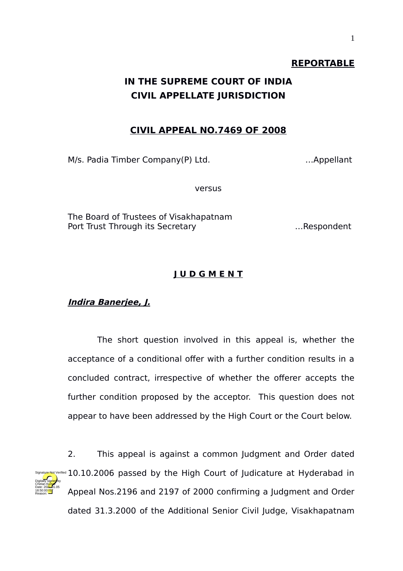#### **REPORTABLE**

# **IN THE SUPREME COURT OF INDIA CIVIL APPELLATE JURISDICTION**

#### **CIVIL APPEAL NO.7469 OF 2008**

M/s. Padia Timber Company(P) Ltd. …Appellant

versus

The Board of Trustees of Visakhapatnam Port Trust Through its Secretary …Respondent

#### **J U D G M E N T**

**Indira Banerjee, J.**

The short question involved in this appeal is, whether the acceptance of a conditional offer with a further condition results in a concluded contract, irrespective of whether the offerer accepts the further condition proposed by the acceptor. This question does not appear to have been addressed by the High Court or the Court below.

2. This appeal is against a common Judgment and Order dated signature Not Verified  $10.10.2006$  passed by the High Court of Judicature at Hyderabad in Appeal Nos.2196 and 2197 of 2000 confirming a Judgment and Order dated 31.3.2000 of the Additional Senior Civil Judge, Visakhapatnam Digitally signed by Chetan Kumar Date: 2024-01.05 18:50:00<sup>1ST</sup> Reason: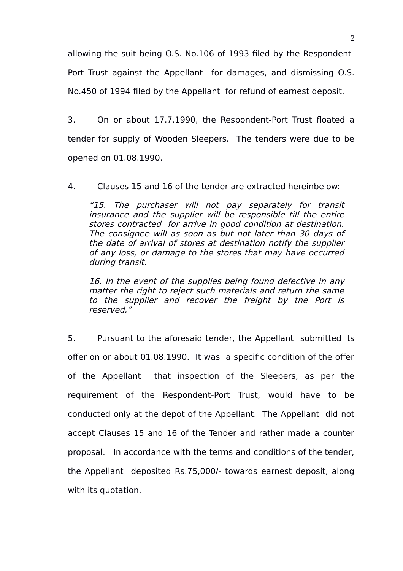allowing the suit being O.S. No.106 of 1993 filed by the Respondent-Port Trust against the Appellant for damages, and dismissing O.S. No.450 of 1994 filed by the Appellant for refund of earnest deposit.

3. On or about 17.7.1990, the Respondent-Port Trust floated a tender for supply of Wooden Sleepers. The tenders were due to be opened on 01.08.1990.

4. Clauses 15 and 16 of the tender are extracted hereinbelow:-

"15. The purchaser will not pay separately for transit insurance and the supplier will be responsible till the entire stores contracted for arrive in good condition at destination. The consignee will as soon as but not later than 30 days of the date of arrival of stores at destination notify the supplier of any loss, or damage to the stores that may have occurred during transit.

16. In the event of the supplies being found defective in any matter the right to reject such materials and return the same to the supplier and recover the freight by the Port is reserved."

5. Pursuant to the aforesaid tender, the Appellant submitted its offer on or about 01.08.1990. It was a specific condition of the offer of the Appellant that inspection of the Sleepers, as per the requirement of the Respondent-Port Trust, would have to be conducted only at the depot of the Appellant. The Appellant did not accept Clauses 15 and 16 of the Tender and rather made a counter proposal. In accordance with the terms and conditions of the tender, the Appellant deposited Rs.75,000/- towards earnest deposit, along with its quotation.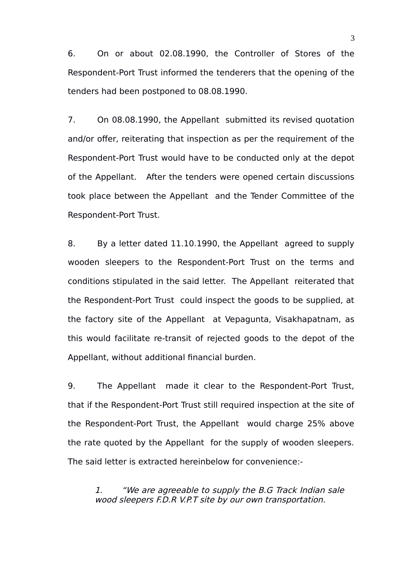6. On or about 02.08.1990, the Controller of Stores of the Respondent-Port Trust informed the tenderers that the opening of the tenders had been postponed to 08.08.1990.

7. On 08.08.1990, the Appellant submitted its revised quotation and/or offer, reiterating that inspection as per the requirement of the Respondent-Port Trust would have to be conducted only at the depot of the Appellant. After the tenders were opened certain discussions took place between the Appellant and the Tender Committee of the Respondent-Port Trust.

8. By a letter dated 11.10.1990, the Appellant agreed to supply wooden sleepers to the Respondent-Port Trust on the terms and conditions stipulated in the said letter. The Appellant reiterated that the Respondent-Port Trust could inspect the goods to be supplied, at the factory site of the Appellant at Vepagunta, Visakhapatnam, as this would facilitate re-transit of rejected goods to the depot of the Appellant, without additional financial burden.

9. The Appellant made it clear to the Respondent-Port Trust, that if the Respondent-Port Trust still required inspection at the site of the Respondent-Port Trust, the Appellant would charge 25% above the rate quoted by the Appellant for the supply of wooden sleepers. The said letter is extracted hereinbelow for convenience:-

1. "We are agreeable to supply the B.G Track Indian sale wood sleepers F.D.R V.P.T site by our own transportation.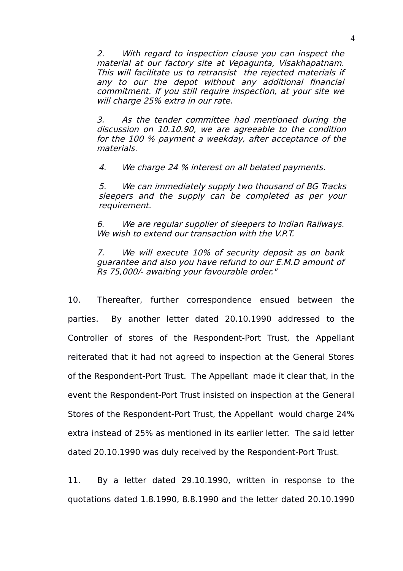2. With regard to inspection clause you can inspect the material at our factory site at Vepagunta, Visakhapatnam. This will facilitate us to retransist the rejected materials if any to our the depot without any additional financial commitment. If you still require inspection, at your site we will charge 25% extra in our rate.

3. As the tender committee had mentioned during the discussion on 10.10.90, we are agreeable to the condition for the 100 % payment a weekday, after acceptance of the materials.

4. We charge 24 % interest on all belated payments.

5. We can immediately supply two thousand of BG Tracks sleepers and the supply can be completed as per your requirement.

6. We are regular supplier of sleepers to Indian Railways. We wish to extend our transaction with the V.P.T.

7. We will execute 10% of security deposit as on bank guarantee and also you have refund to our E.M.D amount of Rs 75,000/- awaiting your favourable order."

10. Thereafter, further correspondence ensued between the parties. By another letter dated 20.10.1990 addressed to the Controller of stores of the Respondent-Port Trust, the Appellant reiterated that it had not agreed to inspection at the General Stores of the Respondent-Port Trust. The Appellant made it clear that, in the event the Respondent-Port Trust insisted on inspection at the General Stores of the Respondent-Port Trust, the Appellant would charge 24% extra instead of 25% as mentioned in its earlier letter. The said letter dated 20.10.1990 was duly received by the Respondent-Port Trust.

11. By a letter dated 29.10.1990, written in response to the quotations dated 1.8.1990, 8.8.1990 and the letter dated 20.10.1990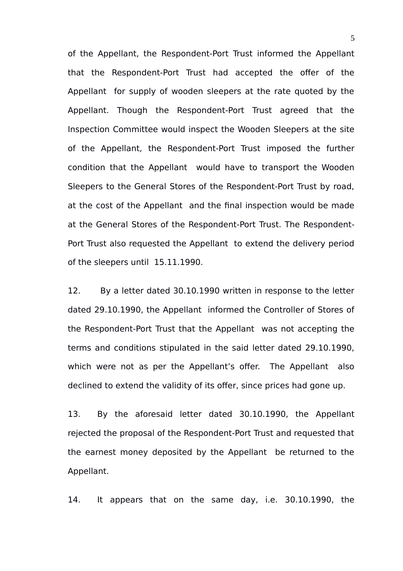of the Appellant, the Respondent-Port Trust informed the Appellant that the Respondent-Port Trust had accepted the offer of the Appellant for supply of wooden sleepers at the rate quoted by the Appellant. Though the Respondent-Port Trust agreed that the Inspection Committee would inspect the Wooden Sleepers at the site of the Appellant, the Respondent-Port Trust imposed the further condition that the Appellant would have to transport the Wooden Sleepers to the General Stores of the Respondent-Port Trust by road, at the cost of the Appellant and the final inspection would be made at the General Stores of the Respondent-Port Trust. The Respondent-Port Trust also requested the Appellant to extend the delivery period of the sleepers until 15.11.1990.

12. By a letter dated 30.10.1990 written in response to the letter dated 29.10.1990, the Appellant informed the Controller of Stores of the Respondent-Port Trust that the Appellant was not accepting the terms and conditions stipulated in the said letter dated 29.10.1990, which were not as per the Appellant's offer. The Appellant also declined to extend the validity of its offer, since prices had gone up.

13. By the aforesaid letter dated 30.10.1990, the Appellant rejected the proposal of the Respondent-Port Trust and requested that the earnest money deposited by the Appellant be returned to the Appellant.

14. It appears that on the same day, i.e. 30.10.1990, the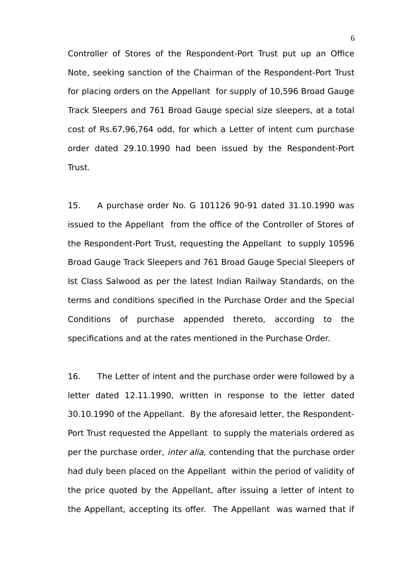Controller of Stores of the Respondent-Port Trust put up an Office Note, seeking sanction of the Chairman of the Respondent-Port Trust for placing orders on the Appellant for supply of 10,596 Broad Gauge Track Sleepers and 761 Broad Gauge special size sleepers, at a total cost of Rs.67,96,764 odd, for which a Letter of intent cum purchase order dated 29.10.1990 had been issued by the Respondent-Port Trust.

15. A purchase order No. G 101126 90-91 dated 31.10.1990 was issued to the Appellant from the office of the Controller of Stores of the Respondent-Port Trust, requesting the Appellant to supply 10596 Broad Gauge Track Sleepers and 761 Broad Gauge Special Sleepers of Ist Class Salwood as per the latest Indian Railway Standards, on the terms and conditions specified in the Purchase Order and the Special Conditions of purchase appended thereto, according to the specifications and at the rates mentioned in the Purchase Order.

16. The Letter of intent and the purchase order were followed by a letter dated 12.11.1990, written in response to the letter dated 30.10.1990 of the Appellant. By the aforesaid letter, the Respondent-Port Trust requested the Appellant to supply the materials ordered as per the purchase order, *inter alia*, contending that the purchase order had duly been placed on the Appellant within the period of validity of the price quoted by the Appellant, after issuing a letter of intent to the Appellant, accepting its offer. The Appellant was warned that if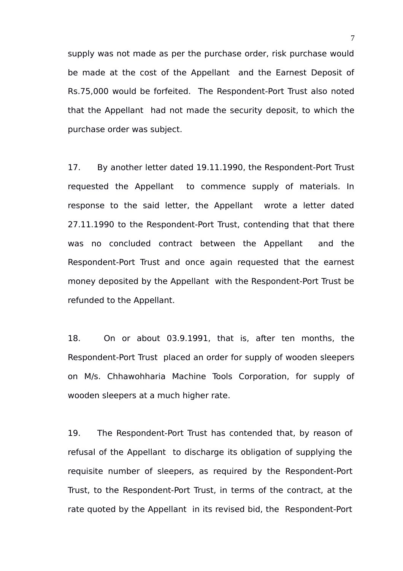supply was not made as per the purchase order, risk purchase would be made at the cost of the Appellant and the Earnest Deposit of Rs.75,000 would be forfeited. The Respondent-Port Trust also noted that the Appellant had not made the security deposit, to which the purchase order was subject.

17. By another letter dated 19.11.1990, the Respondent-Port Trust requested the Appellant to commence supply of materials. In response to the said letter, the Appellant wrote a letter dated 27.11.1990 to the Respondent-Port Trust, contending that that there was no concluded contract between the Appellant and the Respondent-Port Trust and once again requested that the earnest money deposited by the Appellant with the Respondent-Port Trust be refunded to the Appellant.

18. On or about 03.9.1991, that is, after ten months, the Respondent-Port Trust placed an order for supply of wooden sleepers on M/s. Chhawohharia Machine Tools Corporation, for supply of wooden sleepers at a much higher rate.

19. The Respondent-Port Trust has contended that, by reason of refusal of the Appellant to discharge its obligation of supplying the requisite number of sleepers, as required by the Respondent-Port Trust, to the Respondent-Port Trust, in terms of the contract, at the rate quoted by the Appellant in its revised bid, the Respondent-Port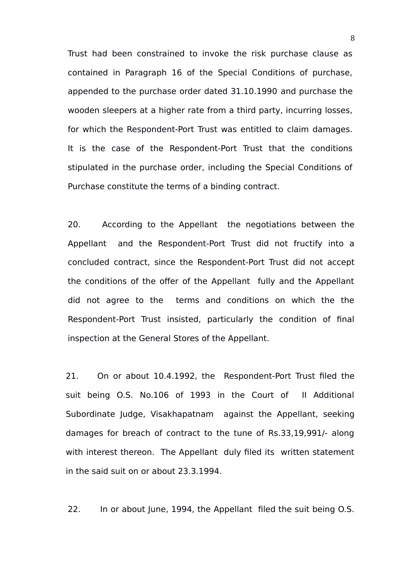Trust had been constrained to invoke the risk purchase clause as contained in Paragraph 16 of the Special Conditions of purchase, appended to the purchase order dated 31.10.1990 and purchase the wooden sleepers at a higher rate from a third party, incurring losses, for which the Respondent-Port Trust was entitled to claim damages. It is the case of the Respondent-Port Trust that the conditions stipulated in the purchase order, including the Special Conditions of Purchase constitute the terms of a binding contract.

20. According to the Appellant the negotiations between the Appellant and the Respondent-Port Trust did not fructify into a concluded contract, since the Respondent-Port Trust did not accept the conditions of the offer of the Appellant fully and the Appellant did not agree to the terms and conditions on which the the Respondent-Port Trust insisted, particularly the condition of final inspection at the General Stores of the Appellant.

21. On or about 10.4.1992, the Respondent-Port Trust filed the suit being O.S. No.106 of 1993 in the Court of II Additional Subordinate Judge, Visakhapatnam against the Appellant, seeking damages for breach of contract to the tune of Rs.33,19,991/- along with interest thereon. The Appellant duly filed its written statement in the said suit on or about 23.3.1994.

22. In or about June, 1994, the Appellant filed the suit being O.S.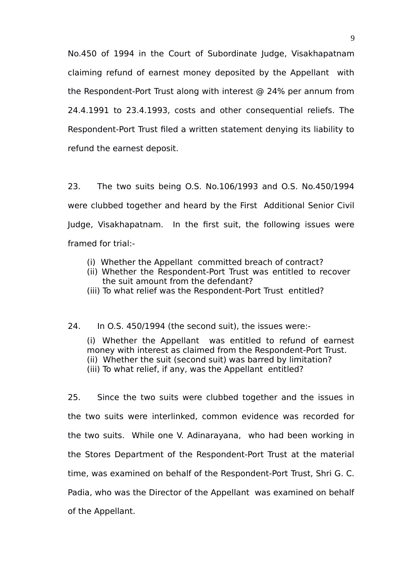No.450 of 1994 in the Court of Subordinate Judge, Visakhapatnam claiming refund of earnest money deposited by the Appellant with the Respondent-Port Trust along with interest @ 24% per annum from 24.4.1991 to 23.4.1993, costs and other consequential reliefs. The Respondent-Port Trust filed a written statement denying its liability to refund the earnest deposit.

23. The two suits being O.S. No.106/1993 and O.S. No.450/1994 were clubbed together and heard by the First Additional Senior Civil Judge, Visakhapatnam. In the first suit, the following issues were framed for trial:-

- (i) Whether the Appellant committed breach of contract?
- (ii) Whether the Respondent-Port Trust was entitled to recover the suit amount from the defendant?
- (iii) To what relief was the Respondent-Port Trust entitled?

#### 24. In O.S. 450/1994 (the second suit), the issues were:-

(i) Whether the Appellant was entitled to refund of earnest money with interest as claimed from the Respondent-Port Trust. (ii) Whether the suit (second suit) was barred by limitation? (iii) To what relief, if any, was the Appellant entitled?

25. Since the two suits were clubbed together and the issues in the two suits were interlinked, common evidence was recorded for the two suits. While one V. Adinarayana, who had been working in the Stores Department of the Respondent-Port Trust at the material time, was examined on behalf of the Respondent-Port Trust, Shri G. C. Padia, who was the Director of the Appellant was examined on behalf of the Appellant.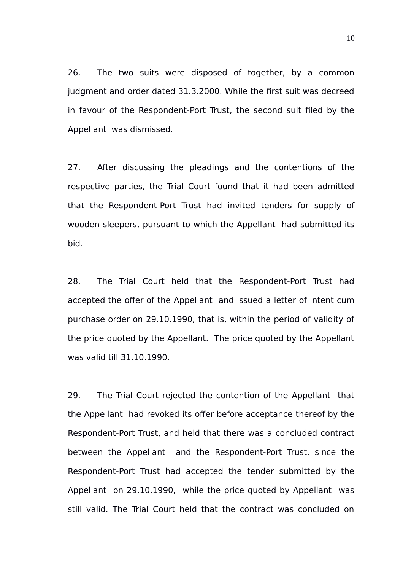26. The two suits were disposed of together, by a common judgment and order dated 31.3.2000. While the first suit was decreed in favour of the Respondent-Port Trust, the second suit filed by the Appellant was dismissed.

27. After discussing the pleadings and the contentions of the respective parties, the Trial Court found that it had been admitted that the Respondent-Port Trust had invited tenders for supply of wooden sleepers, pursuant to which the Appellant had submitted its bid.

28. The Trial Court held that the Respondent-Port Trust had accepted the offer of the Appellant and issued a letter of intent cum purchase order on 29.10.1990, that is, within the period of validity of the price quoted by the Appellant. The price quoted by the Appellant was valid till 31.10.1990.

29. The Trial Court rejected the contention of the Appellant that the Appellant had revoked its offer before acceptance thereof by the Respondent-Port Trust, and held that there was a concluded contract between the Appellant and the Respondent-Port Trust, since the Respondent-Port Trust had accepted the tender submitted by the Appellant on 29.10.1990, while the price quoted by Appellant was still valid. The Trial Court held that the contract was concluded on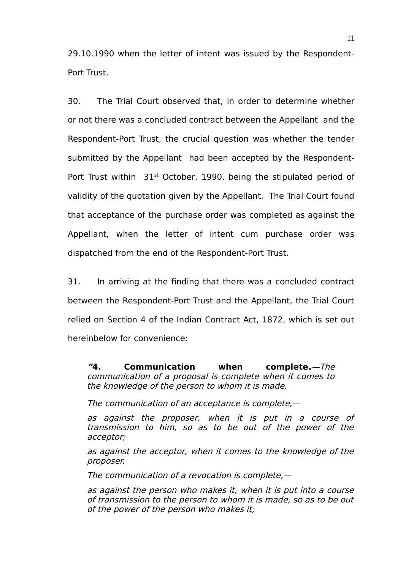29.10.1990 when the letter of intent was issued by the Respondent-Port Trust.

30. The Trial Court observed that, in order to determine whether or not there was a concluded contract between the Appellant and the Respondent-Port Trust, the crucial question was whether the tender submitted by the Appellant had been accepted by the Respondent-Port Trust within  $31<sup>st</sup>$  October, 1990, being the stipulated period of validity of the quotation given by the Appellant. The Trial Court found that acceptance of the purchase order was completed as against the Appellant, when the letter of intent cum purchase order was dispatched from the end of the Respondent-Port Trust.

31. In arriving at the finding that there was a concluded contract between the Respondent-Port Trust and the Appellant, the Trial Court relied on Section 4 of the Indian Contract Act, 1872, which is set out hereinbelow for convenience:

**"[4. Communication when complete.](https://www.scconline.com/Members/BrowseResult.aspx#BS004)**—The communication of a proposal is complete when it comes to the knowledge of the person to whom it is made.

The communication of an acceptance is complete,—

as against the proposer, when it is put in <sup>a</sup> course of transmission to him, so as to be out of the power of the acceptor;

as against the acceptor, when it comes to the knowledge of the proposer.

The communication of a revocation is complete,—

as against the person who makes it, when it is put into a course of transmission to the person to whom it is made, so as to be out of the power of the person who makes it;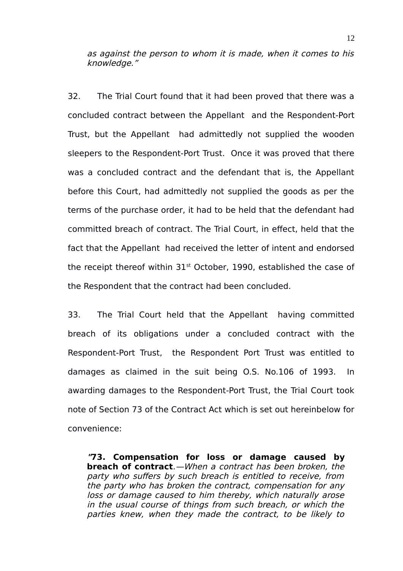as against the person to whom it is made, when it comes to his knowledge."

32. The Trial Court found that it had been proved that there was a concluded contract between the Appellant and the Respondent-Port Trust, but the Appellant had admittedly not supplied the wooden sleepers to the Respondent-Port Trust. Once it was proved that there was a concluded contract and the defendant that is, the Appellant before this Court, had admittedly not supplied the goods as per the terms of the purchase order, it had to be held that the defendant had committed breach of contract. The Trial Court, in effect, held that the fact that the Appellant had received the letter of intent and endorsed the receipt thereof within  $31<sup>st</sup>$  October, 1990, established the case of the Respondent that the contract had been concluded.

33. The Trial Court held that the Appellant having committed breach of its obligations under a concluded contract with the Respondent-Port Trust, the Respondent Port Trust was entitled to damages as claimed in the suit being O.S. No.106 of 1993. In awarding damages to the Respondent-Port Trust, the Trial Court took note of Section 73 of the Contract Act which is set out hereinbelow for convenience:

**"[73. Compensation for loss or damage caused by](https://www.scconline.com/Members/BrowseResult.aspx#BS073) [breach of contract](https://www.scconline.com/Members/BrowseResult.aspx#BS073)**.—When a contract has been broken, the party who suffers by such breach is entitled to receive, from the party who has broken the contract, compensation for any loss or damage caused to him thereby, which naturally arose in the usual course of things from such breach, or which the parties knew, when they made the contract, to be likely to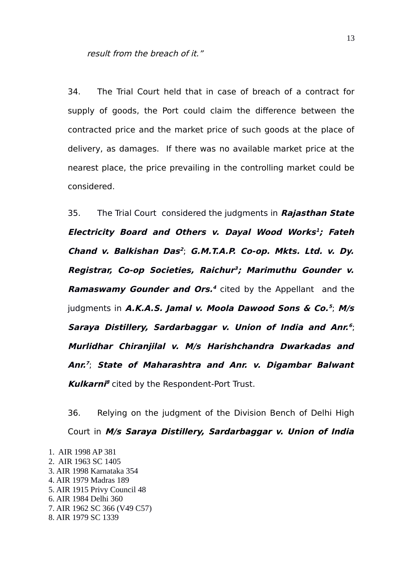34. The Trial Court held that in case of breach of a contract for supply of goods, the Port could claim the difference between the contracted price and the market price of such goods at the place of delivery, as damages. If there was no available market price at the nearest place, the price prevailing in the controlling market could be considered.

35. The Trial Court considered the judgments in **Rajasthan State Electricity Board and Others v. Dayal Wood Works [1](#page-12-0) ; Fateh Chand v. Balkishan Das [2](#page-12-1)** ; **G.M.T.A.P. Co-op. Mkts. Ltd. v. Dy. Registrar, Co-op Societies, Raichur [3](#page-12-2) ; Marimuthu Gounder v. Ramaswamy Gounder and Ors. [4](#page-12-3)** cited by the Appellant and the judgments in **A.K.A.S. Jamal v. Moola Dawood Sons & Co. [5](#page-12-4)** ; **M/s Saraya Distillery, Sardarbaggar v. Union of India and Anr. [6](#page-12-5)** ; **Murlidhar Chiranjilal v. M/s Harishchandra Dwarkadas and Anr. [7](#page-12-6)** ; **State of Maharashtra and Anr. v. Digambar Balwant Kulkarni [8](#page-12-7)** cited by the Respondent-Port Trust.

36. Relying on the judgment of the Division Bench of Delhi High Court in **M/s Saraya Distillery, Sardarbaggar v. Union of India**

<span id="page-12-7"></span><span id="page-12-6"></span><span id="page-12-5"></span><span id="page-12-4"></span><span id="page-12-3"></span><span id="page-12-2"></span><span id="page-12-1"></span><span id="page-12-0"></span>1. AIR 1998 AP 381 2. AIR 1963 SC 1405 3. AIR 1998 Karnataka 354 4. AIR 1979 Madras 189 5. AIR 1915 Privy Council 48 6. AIR 1984 Delhi 360 7. AIR 1962 SC 366 (V49 C57) 8. AIR 1979 SC 1339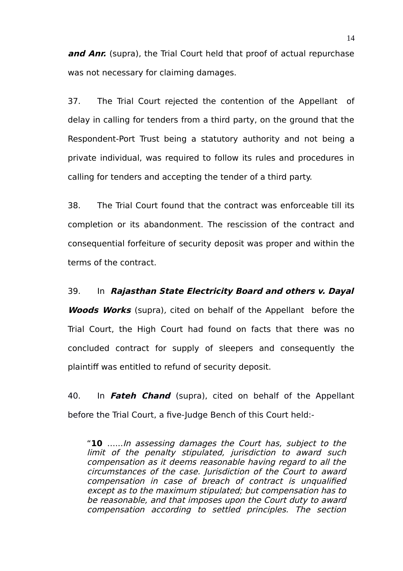**and Anr.** (supra), the Trial Court held that proof of actual repurchase was not necessary for claiming damages.

37. The Trial Court rejected the contention of the Appellant of delay in calling for tenders from a third party, on the ground that the Respondent-Port Trust being a statutory authority and not being a private individual, was required to follow its rules and procedures in calling for tenders and accepting the tender of a third party.

38. The Trial Court found that the contract was enforceable till its completion or its abandonment. The rescission of the contract and consequential forfeiture of security deposit was proper and within the terms of the contract.

### 39. In **Rajasthan State Electricity Board and others v. Dayal**

*Woods Works* (supra), cited on behalf of the Appellant before the Trial Court, the High Court had found on facts that there was no concluded contract for supply of sleepers and consequently the plaintiff was entitled to refund of security deposit.

40. In **Fateh Chand** (supra), cited on behalf of the Appellant before the Trial Court, a five-Judge Bench of this Court held:-

"**10** …...In assessing damages the Court has, subject to the limit of the penalty stipulated, jurisdiction to award such compensation as it deems reasonable having regard to all the circumstances of the case. Jurisdiction of the Court to award compensation in case of breach of contract is unqualified except as to the maximum stipulated; but compensation has to be reasonable, and that imposes upon the Court duty to award compensation according to settled principles. The section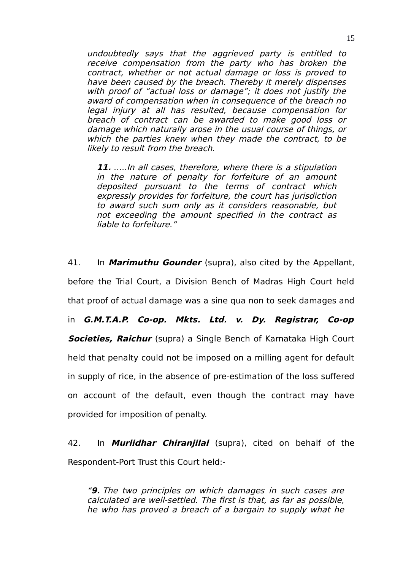undoubtedly says that the aggrieved party is entitled to receive compensation from the party who has broken the contract, whether or not actual damage or loss is proved to have been caused by the breach. Thereby it merely dispenses with proof of "actual loss or damage"; it does not justify the award of compensation when in consequence of the breach no legal injury at all has resulted, because compensation for breach of contract can be awarded to make good loss or damage which naturally arose in the usual course of things, or which the parties knew when they made the contract, to be likely to result from the breach.

**11.** …..In all cases, therefore, where there is a stipulation in the nature of penalty for forfeiture of an amount deposited pursuant to the terms of contract which expressly provides for forfeiture, the court has jurisdiction to award such sum only as it considers reasonable, but not exceeding the amount specified in the contract as liable to forfeiture."

41. In **Marimuthu Gounder** (supra), also cited by the Appellant, before the Trial Court, a Division Bench of Madras High Court held that proof of actual damage was a sine qua non to seek damages and in **G.M.T.A.P. Co-op. Mkts. Ltd. v. Dy. Registrar, Co-op Societies, Raichur** (supra) a Single Bench of Karnataka High Court held that penalty could not be imposed on a milling agent for default in supply of rice, in the absence of pre-estimation of the loss suffered on account of the default, even though the contract may have provided for imposition of penalty.

42. In **Murlidhar Chiranjilal** (supra), cited on behalf of the Respondent-Port Trust this Court held:-

"**9.** The two principles on which damages in such cases are calculated are well-settled. The first is that, as far as possible, he who has proved a breach of a bargain to supply what he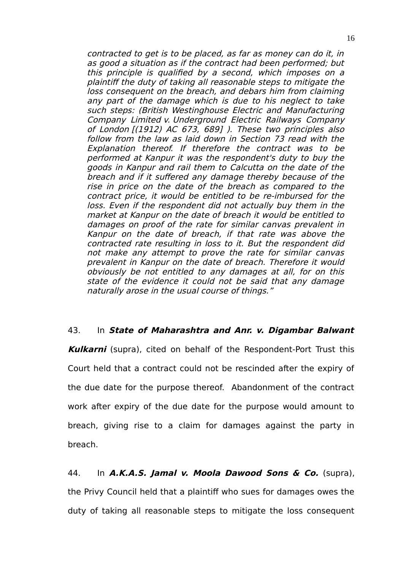contracted to get is to be placed, as far as money can do it, in as good a situation as if the contract had been performed; but this principle is qualified by a second, which imposes on a plaintiff the duty of taking all reasonable steps to mitigate the loss consequent on the breach, and debars him from claiming any part of the damage which is due to his neglect to take such steps: (British Westinghouse Electric and Manufacturing Company Limited v. Underground Electric Railways Company of London [(1912) AC 673, 689] ). These two principles also follow from the law as laid down in Section 73 read with the Explanation thereof. If therefore the contract was to be performed at Kanpur it was the respondent's duty to buy the goods in Kanpur and rail them to Calcutta on the date of the breach and if it suffered any damage thereby because of the rise in price on the date of the breach as compared to the contract price, it would be entitled to be re-imbursed for the loss. Even if the respondent did not actually buy them in the market at Kanpur on the date of breach it would be entitled to damages on proof of the rate for similar canvas prevalent in Kanpur on the date of breach, if that rate was above the contracted rate resulting in loss to it. But the respondent did not make any attempt to prove the rate for similar canvas prevalent in Kanpur on the date of breach. Therefore it would obviously be not entitled to any damages at all, for on this state of the evidence it could not be said that any damage naturally arose in the usual course of things."

### 43. In **State of Maharashtra and Anr. v. Digambar Balwant**

**Kulkarni** (supra), cited on behalf of the Respondent-Port Trust this Court held that a contract could not be rescinded after the expiry of the due date for the purpose thereof. Abandonment of the contract work after expiry of the due date for the purpose would amount to breach, giving rise to a claim for damages against the party in breach.

44. In **A.K.A.S. Jamal v. Moola Dawood Sons & Co.** (supra), the Privy Council held that a plaintiff who sues for damages owes the duty of taking all reasonable steps to mitigate the loss consequent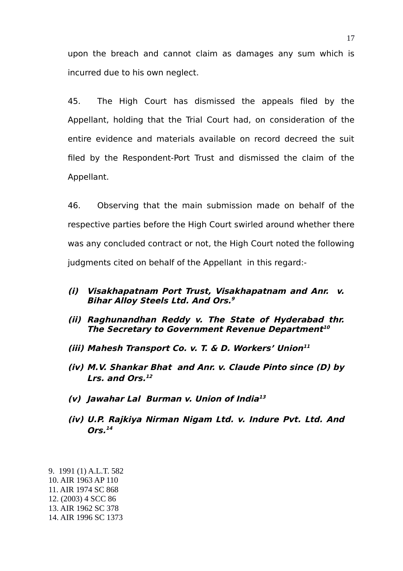upon the breach and cannot claim as damages any sum which is incurred due to his own neglect.

45. The High Court has dismissed the appeals filed by the Appellant, holding that the Trial Court had, on consideration of the entire evidence and materials available on record decreed the suit filed by the Respondent-Port Trust and dismissed the claim of the Appellant.

46. Observing that the main submission made on behalf of the respective parties before the High Court swirled around whether there was any concluded contract or not, the High Court noted the following judgments cited on behalf of the Appellant in this regard:-

- **(i) Visakhapatnam Port Trust, Visakhapatnam and Anr. v. Bihar Alloy Steels Ltd. And Ors. [9](#page-16-0)**
- **(ii) Raghunandhan Reddy v. The State of Hyderabad thr. The Secretary to Government Revenue Department [10](#page-16-1)**
- **(iii) Mahesh Transport Co. v. T. & D. Workers' Union [11](#page-16-2)**
- **(iv) M.V. Shankar Bhat and Anr. v. Claude Pinto since (D) by Lrs. and Ors. [12](#page-16-3)**
- **(v) Jawahar Lal Burman v. Union of India [13](#page-16-4)**
- **(iv) U.P. Rajkiya Nirman Nigam Ltd. v. Indure Pvt. Ltd. And Ors. [14](#page-16-5)**

<span id="page-16-2"></span><span id="page-16-1"></span><span id="page-16-0"></span>9. 1991 (1) A.L.T. 582 10. AIR 1963 AP 110 11. AIR 1974 SC 868 12. (2003) 4 SCC 86

<span id="page-16-5"></span><span id="page-16-4"></span><span id="page-16-3"></span><sup>14.</sup> AIR 1996 SC 1373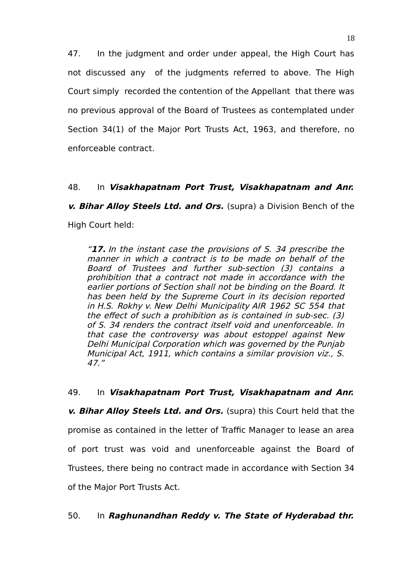47. In the judgment and order under appeal, the High Court has not discussed any of the judgments referred to above. The High Court simply recorded the contention of the Appellant that there was no previous approval of the Board of Trustees as contemplated under Section 34(1) of the Major Port Trusts Act, 1963, and therefore, no enforceable contract.

# 48. In **Visakhapatnam Port Trust, Visakhapatnam and Anr.**

**v. Bihar Alloy Steels Ltd. and Ors.** (supra) a Division Bench of the High Court held:

"**17.** In the instant case the provisions of S. 34 prescribe the manner in which a contract is to be made on behalf of the Board of Trustees and further sub-section (3) contains <sup>a</sup> prohibition that a contract not made in accordance with the earlier portions of Section shall not be binding on the Board. It has been held by the Supreme Court in its decision reported in H.S. Rokhy v. New Delhi Municipality AIR 1962 SC 554 that the effect of such a prohibition as is contained in sub-sec. (3) of S. 34 renders the contract itself void and unenforceable. In that case the controversy was about estoppel against New Delhi Municipal Corporation which was governed by the Punjab Municipal Act, 1911, which contains a similar provision viz., S. 47."

49. In **Visakhapatnam Port Trust, Visakhapatnam and Anr. v. Bihar Alloy Steels Ltd. and Ors.** (supra) this Court held that the promise as contained in the letter of Traffic Manager to lease an area of port trust was void and unenforceable against the Board of Trustees, there being no contract made in accordance with Section 34 of the Major Port Trusts Act.

# 50. In **Raghunandhan Reddy v. The State of Hyderabad thr.**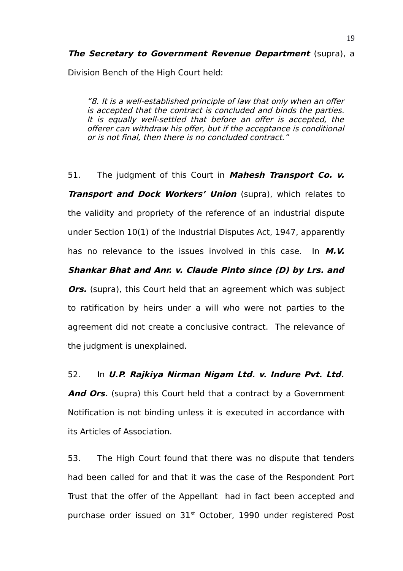**The Secretary to Government Revenue Department** (supra), a

Division Bench of the High Court held:

"8. It is a well-established principle of law that only when an offer is accepted that the contract is concluded and binds the parties. It is equally well-settled that before an offer is accepted, the offerer can withdraw his offer, but if the acceptance is conditional or is not final, then there is no concluded contract."

51. The judgment of this Court in **Mahesh Transport Co. v. Transport and Dock Workers' Union** (supra), which relates to the validity and propriety of the reference of an industrial dispute under Section 10(1) of the Industrial Disputes Act, 1947, apparently has no relevance to the issues involved in this case. In **M.V. Shankar Bhat and Anr. v. Claude Pinto since (D) by Lrs. and Ors.** (supra), this Court held that an agreement which was subject to ratification by heirs under a will who were not parties to the agreement did not create a conclusive contract. The relevance of the judgment is unexplained.

# 52. In **U.P. Rajkiya Nirman Nigam Ltd. v. Indure Pvt. Ltd.**

And Ors. (supra) this Court held that a contract by a Government Notification is not binding unless it is executed in accordance with its Articles of Association.

53. The High Court found that there was no dispute that tenders had been called for and that it was the case of the Respondent Port Trust that the offer of the Appellant had in fact been accepted and purchase order issued on 31<sup>st</sup> October, 1990 under registered Post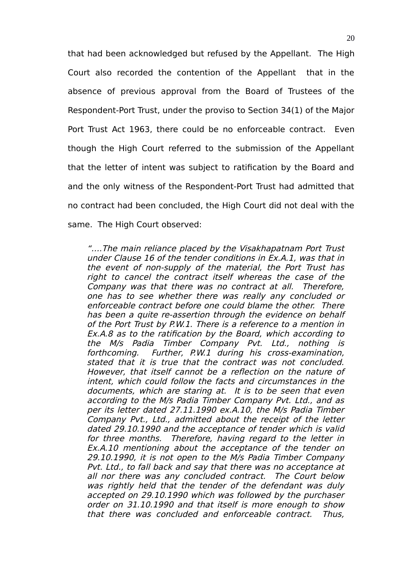that had been acknowledged but refused by the Appellant. The High Court also recorded the contention of the Appellant that in the absence of previous approval from the Board of Trustees of the Respondent-Port Trust, under the proviso to Section 34(1) of the Major Port Trust Act 1963, there could be no enforceable contract. Even though the High Court referred to the submission of the Appellant that the letter of intent was subject to ratification by the Board and and the only witness of the Respondent-Port Trust had admitted that no contract had been concluded, the High Court did not deal with the same. The High Court observed:

"….The main reliance placed by the Visakhapatnam Port Trust under Clause 16 of the tender conditions in Ex.A.1, was that in the event of non-supply of the material, the Port Trust has right to cancel the contract itself whereas the case of the Company was that there was no contract at all. Therefore, one has to see whether there was really any concluded or enforceable contract before one could blame the other. There has been a quite re-assertion through the evidence on behalf of the Port Trust by P.W.1. There is a reference to a mention in Ex.A.8 as to the ratification by the Board, which according to the M/s Padia Timber Company Pvt. Ltd., nothing is forthcoming. Further, P.W.1 during his cross-examination, stated that it is true that the contract was not concluded. However, that itself cannot be a reflection on the nature of intent, which could follow the facts and circumstances in the documents, which are staring at. It is to be seen that even according to the M/s Padia Timber Company Pvt. Ltd., and as per its letter dated 27.11.1990 ex.A.10, the M/s Padia Timber Company Pvt., Ltd., admitted about the receipt of the letter dated 29.10.1990 and the acceptance of tender which is valid for three months. Therefore, having regard to the letter in Ex.A.10 mentioning about the acceptance of the tender on 29.10.1990, it is not open to the M/s Padia Timber Company Pvt. Ltd., to fall back and say that there was no acceptance at all nor there was any concluded contract. The Court below was rightly held that the tender of the defendant was duly accepted on 29.10.1990 which was followed by the purchaser order on 31.10.1990 and that itself is more enough to show that there was concluded and enforceable contract. Thus,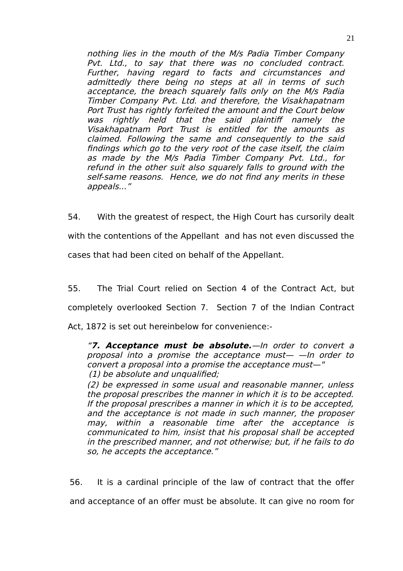nothing lies in the mouth of the M/s Padia Timber Company Pvt. Ltd., to say that there was no concluded contract. Further, having regard to facts and circumstances and admittedly there being no steps at all in terms of such acceptance, the breach squarely falls only on the M/s Padia Timber Company Pvt. Ltd. and therefore, the Visakhapatnam Port Trust has rightly forfeited the amount and the Court below was rightly held that the said plaintiff namely the Visakhapatnam Port Trust is entitled for the amounts as claimed. Following the same and consequently to the said findings which go to the very root of the case itself, the claim as made by the M/s Padia Timber Company Pvt. Ltd., for refund in the other suit also squarely falls to ground with the self-same reasons. Hence, we do not find any merits in these appeals..."

54. With the greatest of respect, the High Court has cursorily dealt with the contentions of the Appellant and has not even discussed the cases that had been cited on behalf of the Appellant.

55. The Trial Court relied on Section 4 of the Contract Act, but completely overlooked Section 7. Section 7 of the Indian Contract Act, 1872 is set out hereinbelow for convenience:-

"**7. Acceptance must be absolute.**—In order to convert <sup>a</sup> proposal into a promise the acceptance must— —In order to convert a proposal into a promise the acceptance must—" (1) be absolute and unqualified;

(2) be expressed in some usual and reasonable manner, unless the proposal prescribes the manner in which it is to be accepted. If the proposal prescribes a manner in which it is to be accepted, and the acceptance is not made in such manner, the proposer may, within <sup>a</sup> reasonable time after the acceptance is communicated to him, insist that his proposal shall be accepted in the prescribed manner, and not otherwise; but, if he fails to do so, he accepts the acceptance."

56. It is a cardinal principle of the law of contract that the offer

and acceptance of an offer must be absolute. It can give no room for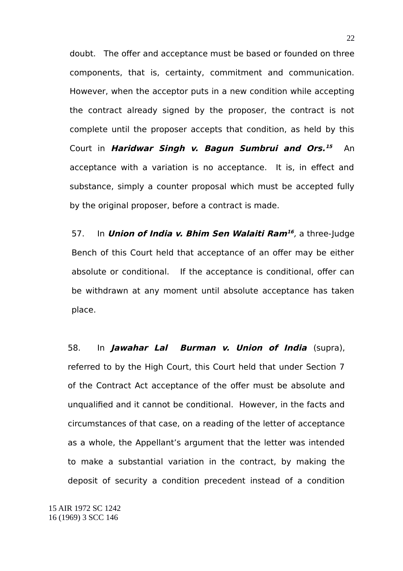doubt. The offer and acceptance must be based or founded on three components, that is, certainty, commitment and communication. However, when the acceptor puts in a new condition while accepting the contract already signed by the proposer, the contract is not complete until the proposer accepts that condition, as held by this Court in **Haridwar Singh v. Bagun Sumbrui and Ors. [15](#page-21-0)** An acceptance with a variation is no acceptance. It is, in effect and substance, simply a counter proposal which must be accepted fully by the original proposer, before a contract is made.

57. In **Union of India v. Bhim Sen Walaiti Ram[16](#page-21-1)** , a three-Judge Bench of this Court held that acceptance of an offer may be either absolute or conditional. If the acceptance is conditional, offer can be withdrawn at any moment until absolute acceptance has taken place.

58. In **Jawahar Lal Burman v. Union of India** (supra), referred to by the High Court, this Court held that under Section 7 of the Contract Act acceptance of the offer must be absolute and unqualified and it cannot be conditional. However, in the facts and circumstances of that case, on a reading of the letter of acceptance as a whole, the Appellant's argument that the letter was intended to make a substantial variation in the contract, by making the deposit of security a condition precedent instead of a condition

<span id="page-21-1"></span><span id="page-21-0"></span>15 AIR 1972 SC 1242 16 (1969) 3 SCC 146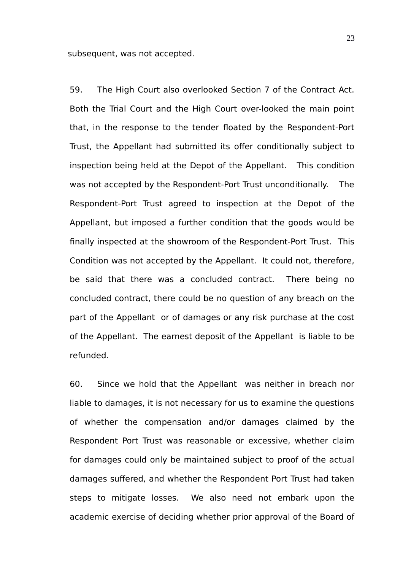subsequent, was not accepted.

59. The High Court also overlooked Section 7 of the Contract Act. Both the Trial Court and the High Court over-looked the main point that, in the response to the tender floated by the Respondent-Port Trust, the Appellant had submitted its offer conditionally subject to inspection being held at the Depot of the Appellant. This condition was not accepted by the Respondent-Port Trust unconditionally. The Respondent-Port Trust agreed to inspection at the Depot of the Appellant, but imposed a further condition that the goods would be finally inspected at the showroom of the Respondent-Port Trust. This Condition was not accepted by the Appellant. It could not, therefore, be said that there was a concluded contract. There being no concluded contract, there could be no question of any breach on the part of the Appellant or of damages or any risk purchase at the cost of the Appellant. The earnest deposit of the Appellant is liable to be refunded.

60. Since we hold that the Appellant was neither in breach nor liable to damages, it is not necessary for us to examine the questions of whether the compensation and/or damages claimed by the Respondent Port Trust was reasonable or excessive, whether claim for damages could only be maintained subject to proof of the actual damages suffered, and whether the Respondent Port Trust had taken steps to mitigate losses. We also need not embark upon the academic exercise of deciding whether prior approval of the Board of